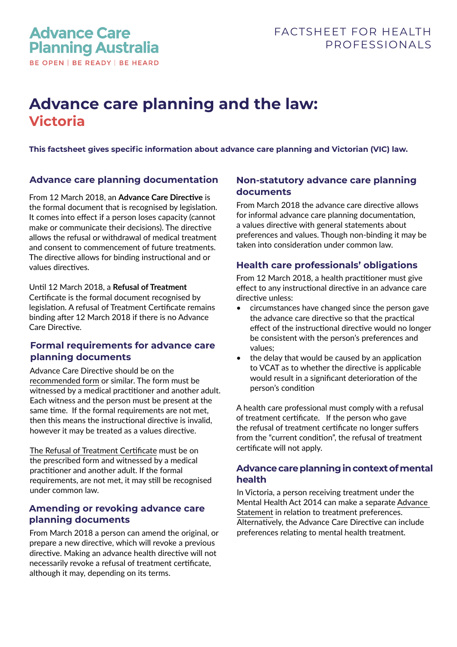# **Advance care planning and the law: Victoria**

**This factsheet gives specific information about advance care planning and Victorian (VIC) law.** 

## **Advance care planning documentation**

From 12 March 2018, an **Advance Care Directive** is the formal document that is recognised by legislation. It comes into effect if a person loses capacity (cannot make or communicate their decisions). The directive allows the refusal or withdrawal of medical treatment and consent to commencement of future treatments. The directive allows for binding instructional and or values directives.

Until 12 March 2018, a **Refusal of Treatment**  Certificate is the formal document recognised by legislation. A refusal of Treatment Certificate remains binding after 12 March 2018 if there is no Advance Care Directive.

## **Formal requirements for advance care planning documents**

Advance Care Directive should be on the [recommended form](https://www.advancecareplanning.org.au/resources/advance-care-planning-in-my-state) or similar. The form must be witnessed by a medical practitioner and another adult. Each witness and the person must be present at the same time. If the formal requirements are not met, then this means the instructional directive is invalid, however it may be treated as a values directive.

[The Refusal of Treatment Certificate](https://www.advancecareplanning.org.au/resources/advance-care-planning-in-my-state) must be on the prescribed form and witnessed by a medical practitioner and another adult. If the formal requirements, are not met, it may still be recognised under common law.

## **Amending or revoking advance care planning documents**

From March 2018 a person can amend the original, or prepare a new directive, which will revoke a previous directive. Making an advance health directive will not necessarily revoke a refusal of treatment certificate, although it may, depending on its terms.

# **Non-statutory advance care planning documents**

From March 2018 the advance care directive allows for informal advance care planning documentation, a values directive with general statements about preferences and values. Though non-binding it may be taken into consideration under common law.

# **Health care professionals' obligations**

From 12 March 2018, a health practitioner must give effect to any instructional directive in an advance care directive unless:

- circumstances have changed since the person gave the advance care directive so that the practical effect of the instructional directive would no longer be consistent with the person's preferences and values;
- the delay that would be caused by an application to VCAT as to whether the directive is applicable would result in a significant deterioration of the person's condition

A health care professional must comply with a refusal of treatment certificate. If the person who gave the refusal of treatment certificate no longer suffers from the "current condition", the refusal of treatment certificate will not apply.

## **Advance care planning in context of mental health**

In Victoria, a person receiving treatment under the Mental Health Act 2014 can make a separate [Advance](https://www2.health.vic.gov.au/about/publications/formsandtemplates/AS-1-Advance-Statement)  [Statement](https://www2.health.vic.gov.au/about/publications/formsandtemplates/AS-1-Advance-Statement) in relation to treatment preferences. Alternatively, the Advance Care Directive can include preferences relating to mental health treatment.